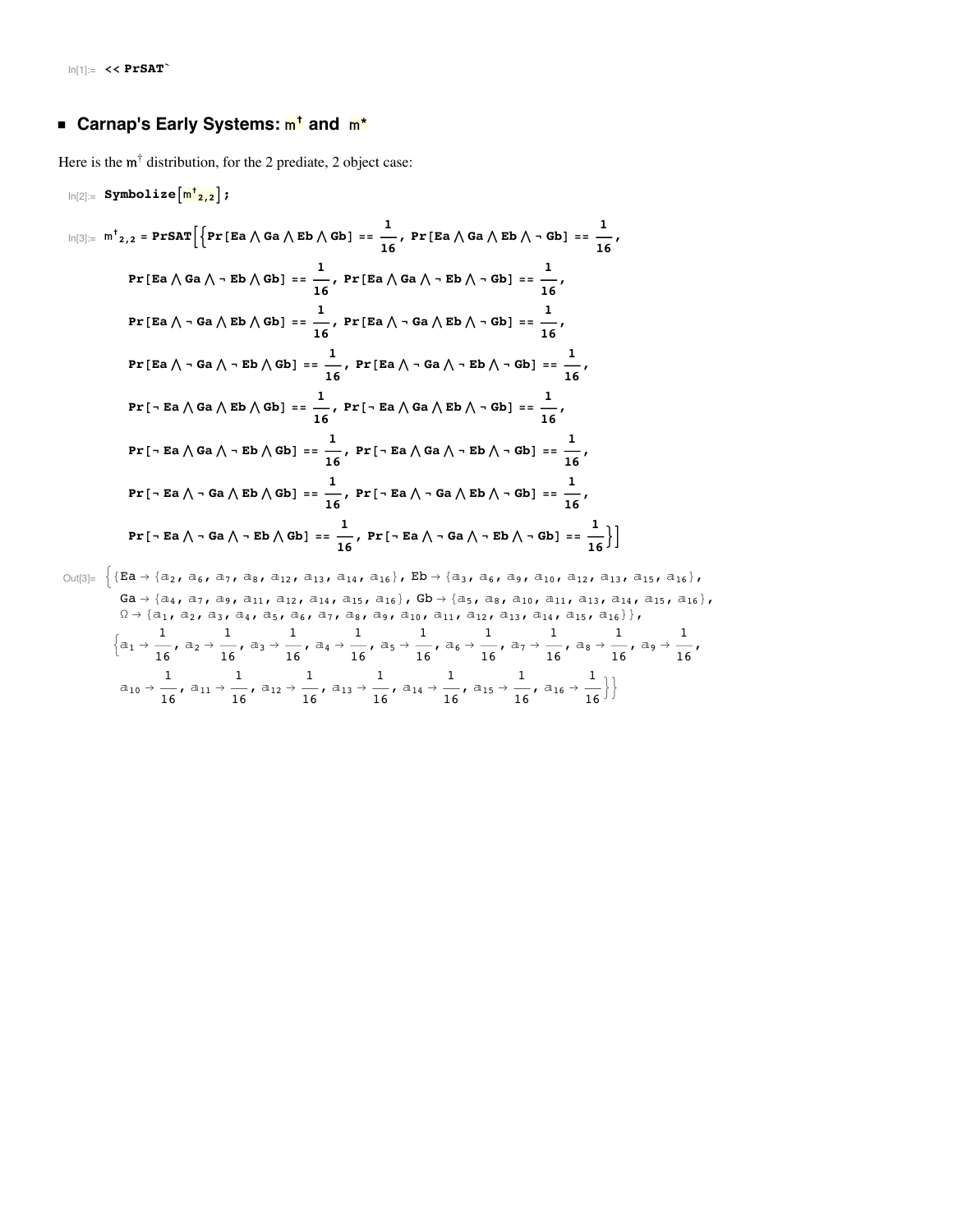# ■ Carnap's Early Systems:  $\frac{m^{\frac{1}{2}}}{m^{\frac{1}{2}}}$  and  $\frac{m^*}{m^*}$

Here is the  $m^{\dagger}$  distribution, for the 2 prediate, 2 object case:

$$
\ln[2] = \text{Symbolize} \left[ \frac{\ln 1}{2, 2} \right];
$$
\n
$$
\ln[3] = \ln \frac{1}{2, 2} = \text{PFSAT} \left[ \left\{ \text{Pr} \left[ \text{Ea} \wedge \text{Ga} \wedge \text{Eb} \wedge \text{Gb} \right] \right\} = \frac{1}{16}, \text{Pr} \left[ \text{Ea} \wedge \text{Ga} \wedge \text{Eb} \wedge \text{Gb} \right] = \frac{1}{16},
$$
\n
$$
\Pr \left[ \text{Ea} \wedge \text{Ga} \wedge \text{- } \text{Eb} \wedge \text{Gb} \right] = \frac{1}{16}, \text{Pr} \left[ \text{Ea} \wedge \text{Ga} \wedge \text{- } \text{Eb} \wedge \text{- } \text{Gb} \right] = \frac{1}{16},
$$
\n
$$
\Pr \left[ \text{Ea} \wedge \text{- } \text{Ga} \wedge \text{Eb} \wedge \text{Gb} \right] = \frac{1}{16}, \text{Pr} \left[ \text{Ea} \wedge \text{- } \text{Ga} \wedge \text{Eb} \wedge \text{- } \text{Gb} \right] = \frac{1}{16},
$$
\n
$$
\Pr \left[ \text{Ea} \wedge \text{- } \text{Ga} \wedge \text{Eb} \wedge \text{Gb} \right] = \frac{1}{16}, \text{Pr} \left[ \text{Ea} \wedge \text{- } \text{Ga} \wedge \text{Eb} \wedge \text{- } \text{Gb} \right] = \frac{1}{16},
$$
\n
$$
\Pr \left[ \text{- } \text{Ea} \wedge \text{Ga} \wedge \text{Eb} \wedge \text{Gb} \right] = \frac{1}{16}, \text{Pr} \left[ \text{- } \text{Ea} \wedge \text{Ga} \wedge \text{Eb} \wedge \text{- } \text{Gb} \right] = \frac{1}{16},
$$
\n
$$
\Pr \left[ \text{- } \text{Ea} \wedge \text{Ga} \wedge \text{- } \text{Eb} \wedge \text{Gb} \right] = \frac{1}{16}, \text{Pr} \left[ \text{- } \text{Ea} \wedge \text{Ga} \wedge \text{- } \text{
$$

Out[3]=  $\Big\{ \{ \texttt{Ea} \to \{ a_2,\ a_6,\ a_7,\ a_8,\ a_{12},\ a_{13},\ a_{14},\ a_{16} \}$ ,  $\texttt{Eb} \to \{ a_3,\ a_6,\ a_9,\ a_{10},\ a_{12},\ a_{13},\ a_{15},\ a_{16} \}$ ,  $\texttt{Ga} \rightarrow \{\texttt{a}_4, \texttt{a}_7, \texttt{a}_9, \texttt{a}_{11}, \texttt{a}_{12}, \texttt{a}_{14}, \texttt{a}_{15}, \texttt{a}_{16}\}, \texttt{Gb} \rightarrow \{\texttt{a}_5, \texttt{a}_8, \texttt{a}_{10}, \texttt{a}_{11}, \texttt{a}_{13}, \texttt{a}_{14}, \texttt{a}_{15}, \texttt{a}_{16}\},$  $\Omega \to \{$ a $_1$ , a $_2$ , a $_3$ , a $_4$ , a $_5$ , a $_6$ , a $_7$ , a $_8$ , a $_9$ , a $_{10}$ , a $_{11}$ , a $_{12}$ , a $_{13}$ , a $_{14}$ , a $_{15}$ , a $_{16}\}$ },  $\left\{\text{a}_1 \rightarrow \frac{1}{16}$ ,  $\text{a}_2 \rightarrow \frac{1}{16}$ ,  $\text{a}_3 \rightarrow \frac{1}{16}$ ,  $\text{a}_4 \rightarrow \frac{1}{16}$ ,  $\text{a}_5 \rightarrow \frac{1}{16}$ ,  $\text{a}_6 \rightarrow \frac{1}{16}$ ,  $\text{a}_7 \rightarrow \frac{1}{16}$ ,  $\text{a}_8 \rightarrow \frac{1}{16}$ ,  $\text{a}_9 \rightarrow \frac{1}{16}$ ,  $a_{10} \rightarrow \frac{1}{16}$ ,  $a_{11} \rightarrow \frac{1}{16}$ ,  $a_{12} \rightarrow \frac{1}{16}$ ,  $a_{13} \rightarrow \frac{1}{16}$ ,  $a_{14} \rightarrow \frac{1}{16}$ ,  $a_{15} \rightarrow \frac{1}{16}$ ,  $a_{16} \rightarrow \frac{1}{16}$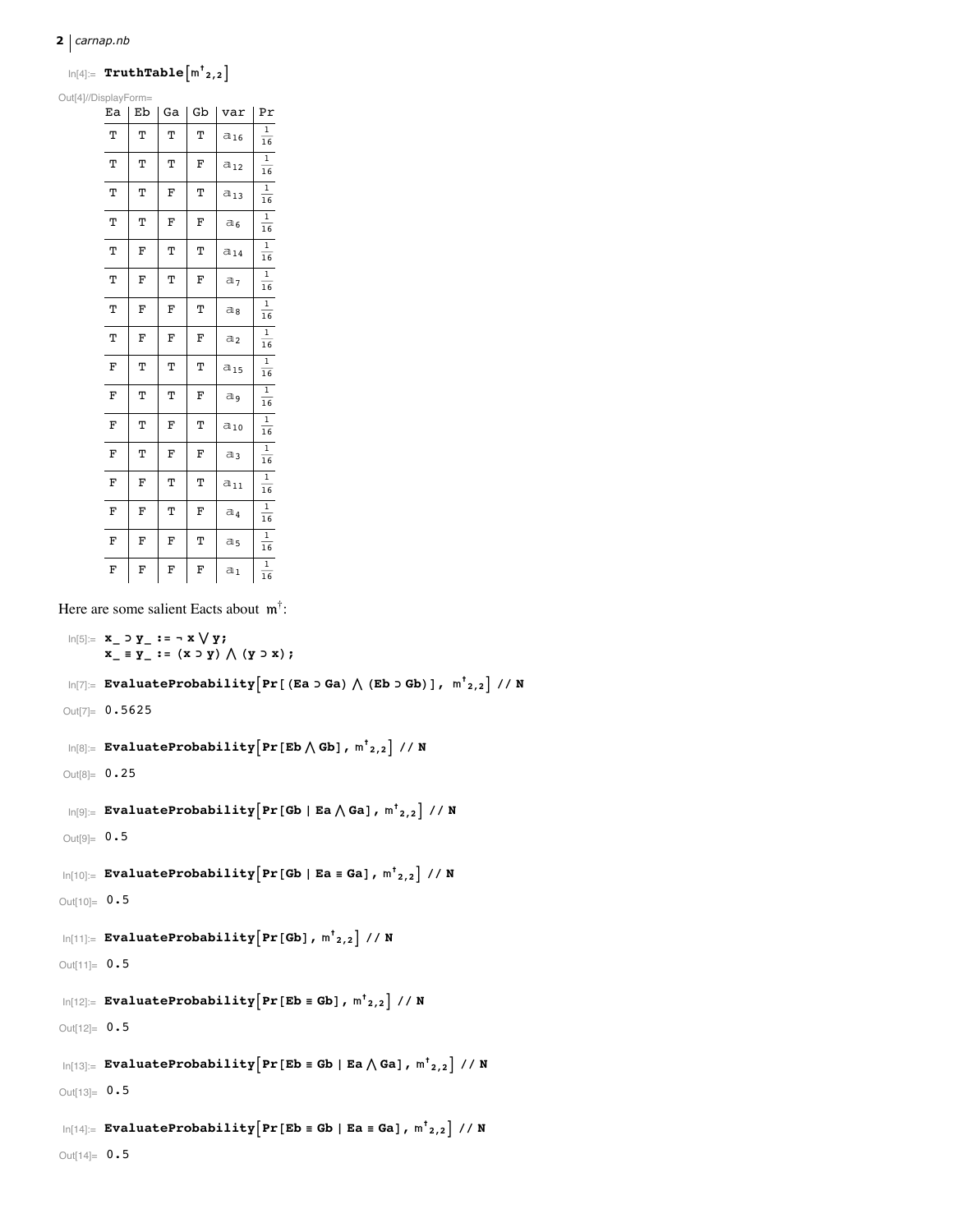### $2 |$  carnap.nb

# $\ln[4] = \texttt{TruthTable} \left\lceil \mathsf{m}^\dagger_{2,2} \right\rceil$

Out[4]//DisplayForm=

| Ea | Eb | Ga | Gb | var            | Pr                   |
|----|----|----|----|----------------|----------------------|
| T  | Т  | Т  | T  | $a_{16}$       | 1<br>16              |
| Т  | Т  | Т  | F  | $a_{12}$       | $\overline{1}$<br>16 |
| Т  | Т  | F  | Т  | $a_{13}$       | 1<br>16              |
| Т  | т  | F  | F  | $a_6$          | 1<br>16              |
| Т  | F  | Т  | Т  | $a_{14}$       | 1<br>16              |
| Т  | F  | Т  | F  | a <sub>7</sub> | $\overline{1}$<br>16 |
| Т  | F  | F  | Т  | a,             | 1<br>16              |
| Т  | F  | F  | F  | a <sub>2</sub> | $\overline{1}$<br>16 |
| F  | Т  | Т  | Т  | $a_{15}$       | 1<br>16              |
| F  | т  | Т  | F  | a,             | $\mathbf{1}$<br>16   |
| F  | T  | F  | Т  | $a_{10}$       | 1<br>16              |
| F  | Т  | F  | F  | $a_3$          | 1<br>16              |
| F  | F  | Т  | Т  | $a_{11}$       | 1<br>16              |
| F  | F  | Т  | F  | $a_4$          | $\overline{1}$<br>16 |
| F  | F  | F  | Т  | a5             | 1<br>16              |
| F  | F  | F  | F  | $a_1$          | 1<br>16              |

Here are some salient Eacts about  $m^{\dagger}$ :

```
\text{In[5]}:=\ \mathbf{x}_{-}\supset \mathbf{y}_{-}:=\ \neg\ \mathbf{x}\bigvee \mathbf{y};x_{-} \equiv y_{-} := (x \supset y) \wedge (y \supset x);\ln[T]: EvaluateProbability \left[\Pr\left[\right(\text{Ea} > \text{Ga}\right) \bigwedge \left(\text{Eb} > \text{Gb}\right)\right], \ln^t_{2,2} // N
 Out[7]= 0.5625\ln[8] = EvaluateProbability \left[\Pr\left[\texttt{Eb} \bigwedge \texttt{Gb}\right], m^{\dagger}_{2,2}\right] // N
 Out[8] = 0.25\ln[\Theta] := EvaluateProbability \left[\Pr[\text{Gb} | \text{Ea} \wedge \text{Ga}], m^{\dagger}_{2,2}\right] // N
Out[9]= 0.5\ln[10]:= EvaluateProbability \left[\Pr[\text{Gb} | \text{Ea} \equiv \text{Ga}], m^{\dagger}_{2,2}\right] // N
Out[10]= 0.5\ln[11] := \texttt{EvaluateProbability}\Big[\texttt{Pr}\big[\texttt{Gb}\big] \texttt{, m}^\dagger_{2,2}\Big] \texttt{ // N}Out[11]= 0.5\ln[12]:= EvaluateProbability \left[\Pr\left[\texttt{Eb}\equiv\texttt{Gb}\right], \texttt{m}^{\dagger}\texttt{2,2}\right] // N
Out[12] = 0.5\ln[13] = EvaluateProbability \left[\Pr\left[\mathbf{Eb} \equiv \mathbf{Gb} \mid \mathbf{Ea} \wedge \mathbf{Ga}\right], m^{\dagger}<sub>2,2</sub> // N
Out[13]= 0.5\ln[14] = EvaluateProbability [Pr [Eb \equiv Gb | Ea \equiv Ga], m^{\dagger}_{2,2}] // N
Out[14] = 0.5
```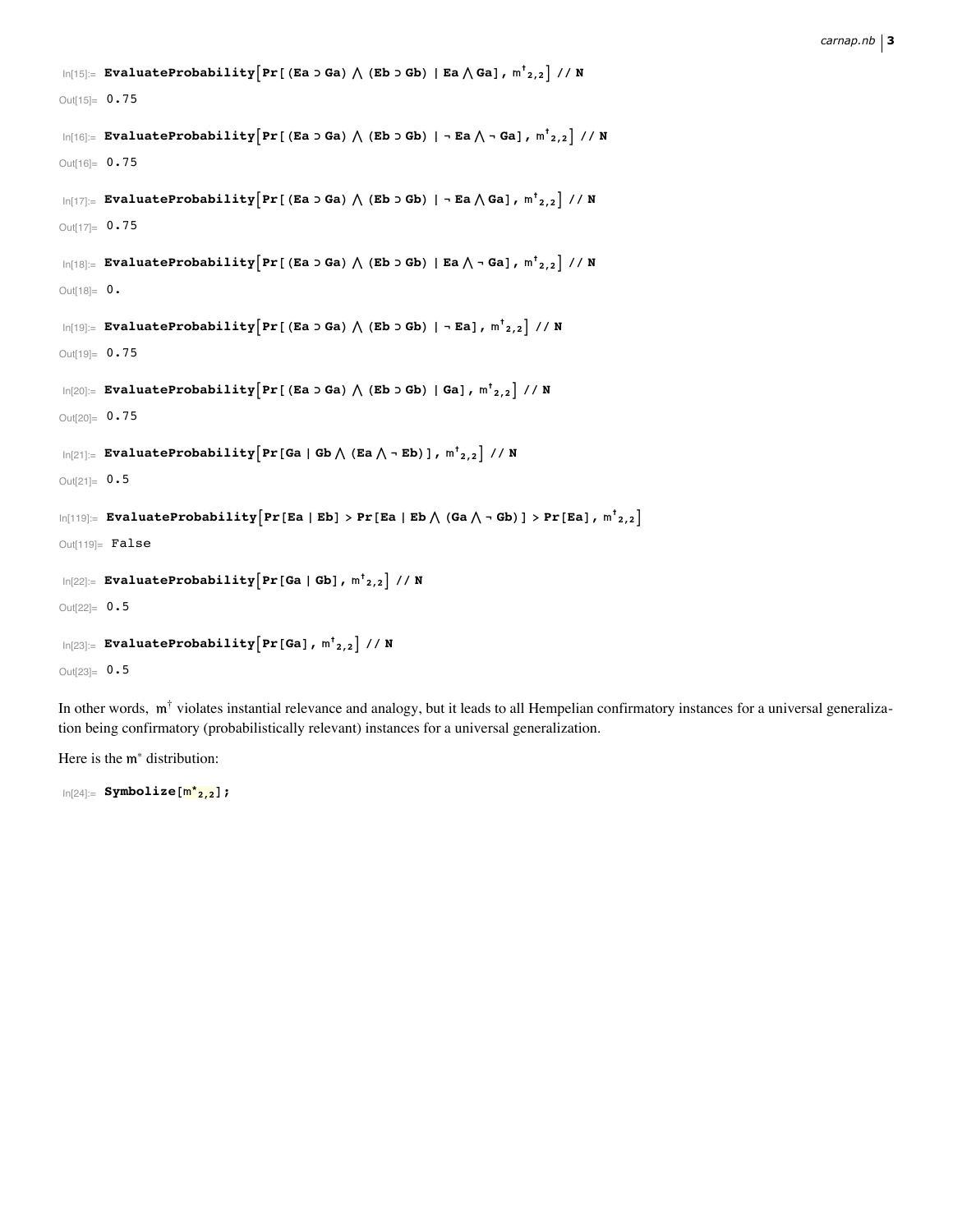```
\ln[15]= EvaluateProbability\left[\texttt{Pr}\left[\texttt{(Ea > Ga)} \bigwedge \texttt{(Eb > Gb)} \mid \texttt{Ea} \bigwedge \texttt{Ga}\right], \, \texttt{m}^{\dagger}_{\,\,\,2,2}\right] // N
Out[15]= 0.75
  \ln[16] = EvaluateProbability\left[\texttt{Pr}\right[ (Ea ɔ Ga) \bigwedge (Eb ɔ Gb) | ¬ Ea \bigwedge ¬ Ga], \textsf{m}^\dagger_{2,2} // N
Out[16]= 0.75
  \ln[17]: EvaluateProbability\left[\Pr\left[\text{ (Ea > Ga)} \bigwedge \text{ (Eb > Gb)} \right]\right. - Ea\bigwedge \text{Ga}\right] , \text{m}^{\dagger}{}_{2,2}\left] // N
Out[17]= 0.75
  \ln[18]= EvaluateProbability\left[\Pr\left[\text{ (Ea > Ga)} \bigwedge \text{ (Eb > Gb)} \mid \text{Ea} \bigwedge \neg \text{ Ga}\right], m_{2,2}^{\dagger}\right] // N
Out[18] = 0.
  \ln[19]= EvaluateProbability\left[\Pr\left[\text{ (Ea > Ga)} \bigwedge \text{ (Eb > Gb)} \mid \neg \text{ Ea}\right], \text{ m}^{\dagger}_{2,2}\right] // N
Out[19]= 0.75
  \log_{10}[20]:= EvaluateProbability\left[\texttt{Pr}\left[\texttt{(Ea > Ga)} \texttt{)} \left( \texttt{(Eb > Gb)} \right. \middle\vert \texttt{Ga}\right], \, \texttt{m}^\dagger_{\,\,\,2,2} \right] // N
Out[20]= 0.75
  \ln[21]: EvaluateProbability \left[\text{Pr}\left[\text{Ga}\mid\text{Gb}\bigwedge\left(\text{Ea}\bigwedge\frac{}{}\text{-Eb}\right)\right], \text{ m}^\dagger_{2,2}\right] // N
Out[21] = 0.5\ln[119]: EvaluateProbability\left[\Pr\left[\mathtt{Ea} \mid \mathtt{Eb}\right] > \Pr\left[\mathtt{Ea} \mid \mathtt{Eb} \bigwedge\left(\mathtt{Ga} \bigwedge \neg \mathtt{Gb}\right)\right] > \Pr\left[\mathtt{Ea}\right], \mathsf{m^t}_{2,2}\right]Out[119]= False\ln[22] := EvaluateProbability \left[\text{Pr}\left[\text{Ga}\mid\text{Gb}\right], \text{m}^{\dagger}_{2,2}\right] // N
Out[22] = 0.5\ln[23] := EvaluateProbability \left[\text{Pr}\left[\text{Ga}\right] , \text{m}^{\dagger} <sub>2,2</sub> \right] // N
Out[23] = 0.5
```
In other words,  $m^{\dagger}$  violates instantial relevance and analogy, but it leads to all Hempelian confirmatory instances for a universal generalization being confirmatory (probabilistically relevant) instances for a universal generalization.

Here is the  $m^*$  distribution:

In[24]:= **Symbolize@\* 2,2D;**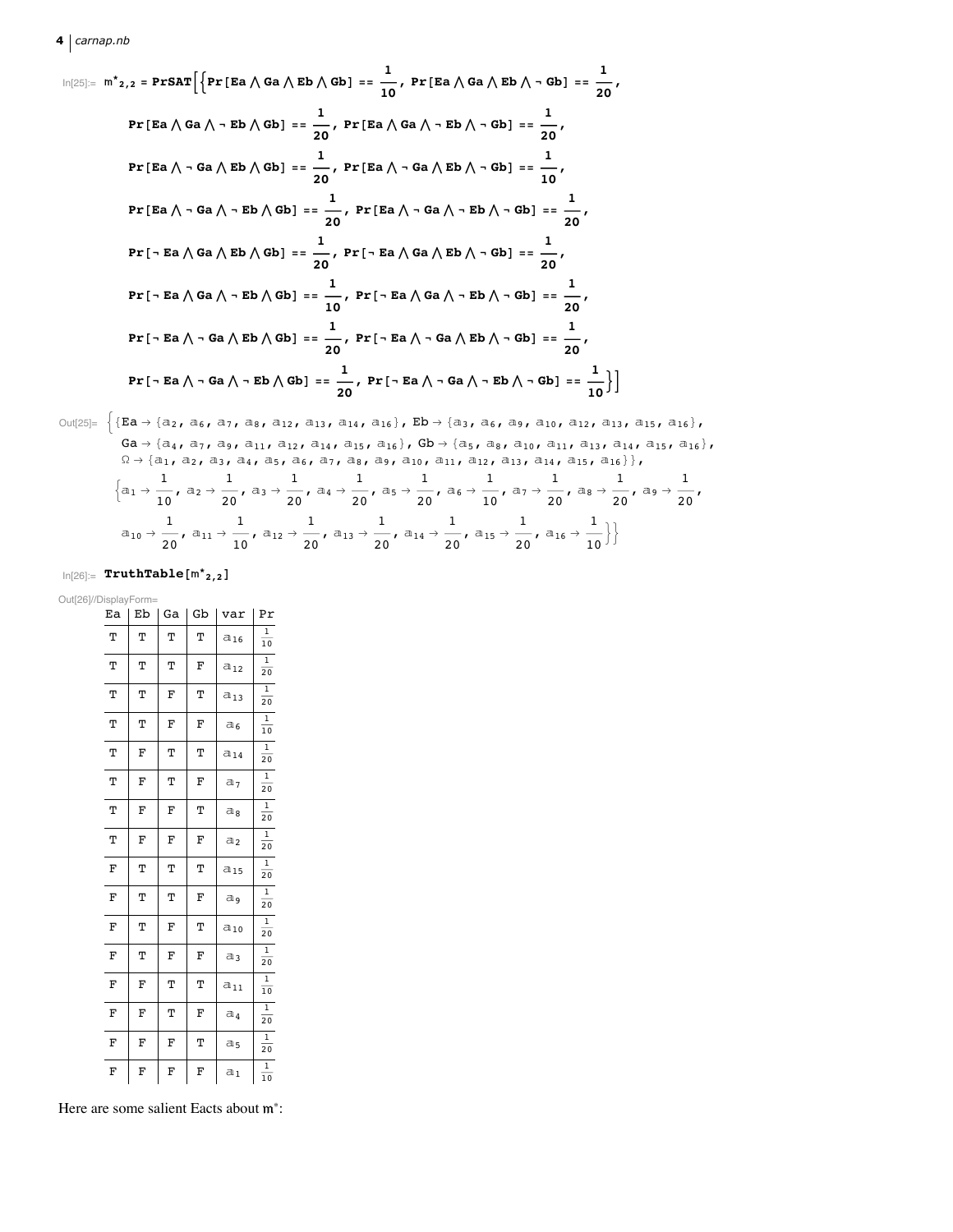$$
\ln[25] := m^*_{2,2} = \text{PrSAT}\Big[\Big\{\text{Pr}\left[\text{Eq } \wedge \text{Ga } \wedge \text{Eb } \wedge \text{Gb}\right] = \frac{1}{10}, \text{Pr}\left[\text{Eq } \wedge \text{Ga } \wedge \text{Eb } \wedge \text{-Gb}\right] = \frac{1}{20},
$$
\n
$$
\text{Pr}\left[\text{Eq } \wedge \text{Ga } \wedge \text{- Eb } \wedge \text{Gb}\right] = \frac{1}{20}, \text{Pr}\left[\text{Eq } \wedge \text{Ga } \wedge \text{-Eb } \wedge \text{-Gb}\right] = \frac{1}{20},
$$
\n
$$
\text{Pr}\left[\text{Eq } \wedge \text{-Ga } \wedge \text{Eb } \wedge \text{Gb}\right] = \frac{1}{20}, \text{Pr}\left[\text{Eq } \wedge \text{-Ga } \wedge \text{Eb } \wedge \text{-Gb}\right] = \frac{1}{10},
$$
\n
$$
\text{Pr}\left[\text{Eq } \wedge \text{-Ga } \wedge \text{-Eb } \wedge \text{Gb}\right] = \frac{1}{20}, \text{Pr}\left[\text{Eq } \wedge \text{-Ga } \wedge \text{-Eb } \wedge \text{-Gb}\right] = \frac{1}{20},
$$
\n
$$
\text{Pr}\left[\text{-Eq } \wedge \text{Ga } \wedge \text{Eb } \wedge \text{Gb}\right] = \frac{1}{20}, \text{Pr}\left[\text{-Eq } \wedge \text{Ga } \wedge \text{Eb } \wedge \text{-Gb}\right] = \frac{1}{20},
$$
\n
$$
\text{Pr}\left[\text{-Eq } \wedge \text{Ga } \wedge \text{-Eb } \wedge \text{Gb}\right] = \frac{1}{10}, \text{Pr}\left[\text{-Eq } \wedge \text{Ga } \wedge \text{-Eb } \wedge \text{-Gb}\right] = \frac{1}{20},
$$
\n
$$
\text{Pr}\left[\text{-Eq } \wedge \text{-Ga } \wedge \text{Eb } \wedge \text{Gb}\right] = \frac{1}{20}, \text{Pr}\left[\text{-Eq } \wedge \text{-Ga } \wedge \text{Eb } \wedge \text{-Gb}\right] = \frac{1}{20},
$$
\n
$$
\text{Pr}\left[\text{-Eq } \wedge \text{-Ga } \wedge \text{Eb }
$$

Out[25]= {
$$
\{EA \rightarrow \{a_2, a_6, a_7, a_8, a_{12}, a_{13}, a_{14}, a_{16}\}, Eb \rightarrow \{a_3, a_6, a_9, a_{10}, a_{12}, a_{13}, a_{15}, a_{16}\},
$$
  
\n $Ga \rightarrow \{a_4, a_7, a_9, a_{11}, a_{12}, a_{14}, a_{15}, a_{16}\}, gb \rightarrow \{a_5, a_8, a_{10}, a_{11}, a_{13}, a_{14}, a_{15}, a_{16}\},$   
\n $\Omega \rightarrow \{a_1, a_2, a_3, a_4, a_5, a_6, a_7, a_8, a_9, a_{10}, a_{11}, a_{12}, a_{13}, a_{14}, a_{15}, a_{16}\},$   
\n $\{a_1 \rightarrow \frac{1}{10}, a_2 \rightarrow \frac{1}{20}, a_3 \rightarrow \frac{1}{20}, a_4 \rightarrow \frac{1}{20}, a_5 \rightarrow \frac{1}{20}, a_6 \rightarrow \frac{1}{10}, a_7 \rightarrow \frac{1}{20}, a_8 \rightarrow \frac{1}{20}, a_9 \rightarrow \frac{1}{20},$   
\n $a_{10} \rightarrow \frac{1}{20}, a_{11} \rightarrow \frac{1}{10}, a_{12} \rightarrow \frac{1}{20}, a_{13} \rightarrow \frac{1}{20}, a_{14} \rightarrow \frac{1}{20}, a_{15} \rightarrow \frac{1}{20}, a_{16} \rightarrow \frac{1}{10}\}$ }

 $\ln[26] := \textbf{TruthTable} \big[\text{m}^{\star}{}_{2,2}\big]$ 

Out[26]//DisplayForm=

| Ea | Eb | Ga | Gb | var            | Pr                         |
|----|----|----|----|----------------|----------------------------|
| Т  | Т  | Т  | Т  | $a_{16}$       | $\,1$<br>$10\,$            |
| Т  | Т  | Т  | F  | $a_{12}$       | $\,1\,$<br>$\overline{20}$ |
| Т  | Т  | F  | Т  | $a_{13}$       | $\,1\,$<br>20              |
| Т  | Т  | F  | F  | a <sub>6</sub> | $\,1\,$<br>10              |
| Т  | F  | Т  | Т  | $a_{14}$       | 1<br>20                    |
| Т  | F  | Т  | F  | a <sub>7</sub> | $\mathbf{1}$<br>20         |
| Т  | F  | F  | Т  | $a_8$          | $\,1$<br>20                |
| Т  | F  | F  | F  | $a_2$          | 1<br>20                    |
| F  | Т  | Т  | Т  | $a_{15}$       | $\,1$<br>20                |
| F  | Т  | Т  | F  | a,             | $\mathbf{1}$<br>20         |
| F  | Т  | F  | Т  | $a_{10}$       | $\mathbf{1}$<br>20         |
| F  | Т  | F  | F  | $a_3$          | 1<br>$\overline{20}$       |
| F  | F  | Т  | Т  | $a_{11}$       | $\,1\,$<br>10              |
| F  | F  | Т  | F  | $a_4$          | $\,1$<br>20                |
| F  | F  | F  | Т  | a <sub>5</sub> | 1<br>$\overline{20}$       |
| F  | F  | F  | F  | a <sub>1</sub> | $\mathbf 1$<br>10          |

Here are some salient Eacts about  $m^*$ :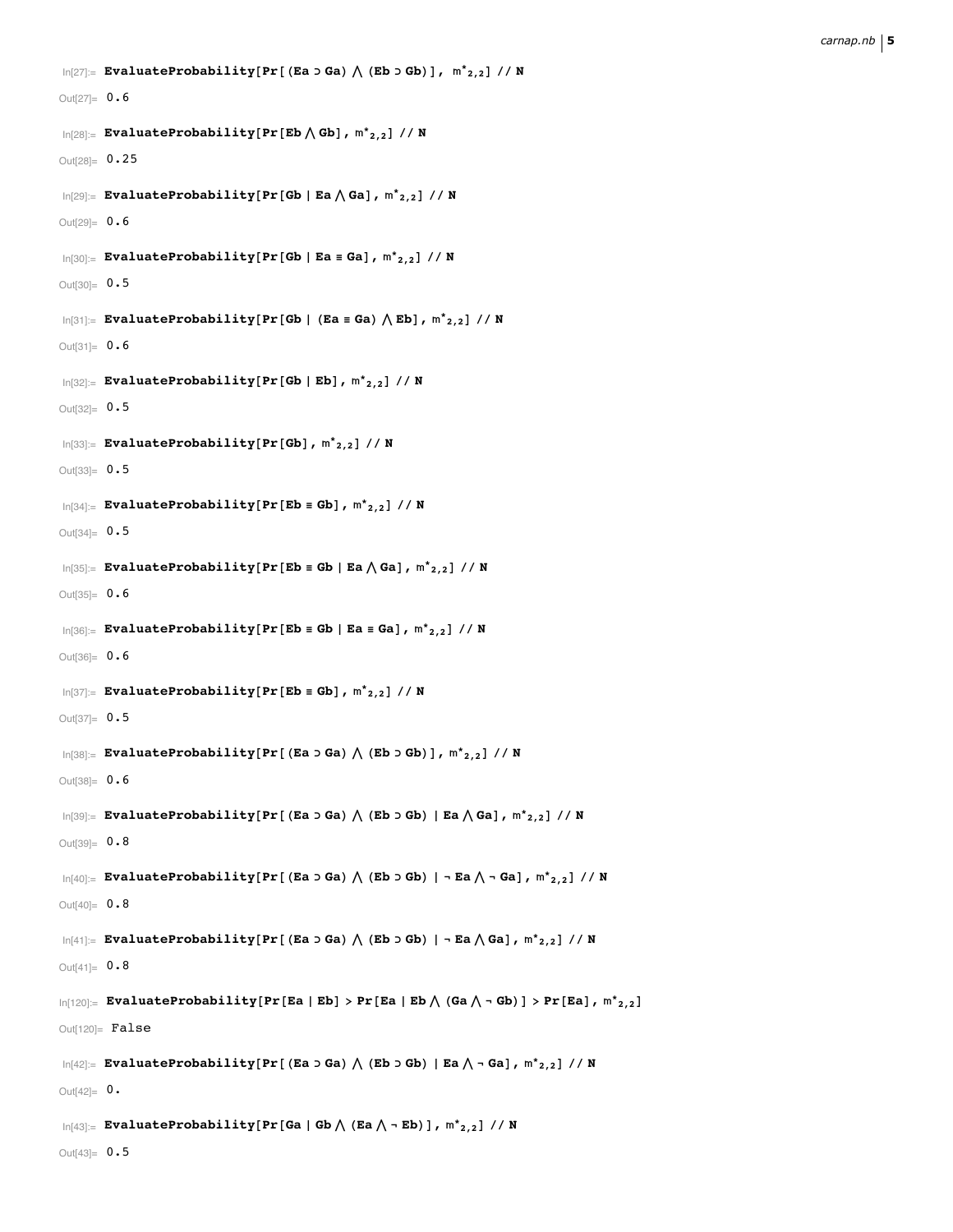```
\ln[27]:= EvaluateProbability[Pr[(Ea ⊃ Ga) \bigwedge (Eb ⊃ Gb)], \mathsf{m^*}_{2,2}] // N
Out[27] = 0.6\ln[28] := EvaluateProbability [Pr[Eb \bigwedge Gb], m^*_{2,2}] // N
Out[28]= 0.25
 \ln[29]:= EvaluateProbability[Pr[Gb | Ea\bigwedge Ga], m^*_{2,2}] // N
Out[29]= 0.6
 \ln[30] := EvaluateProbability [Pr[Gb | Ea = Ga], m^*_{2,2}] // N
Out[30]= 0.5
 \ln[31] := EvaluateProbability\left[ Pr\left[ Gb \mid (Ea \equiv Ga) \bigwedge Eb \right], \ln^*_{2,2} \right] // N
Out[31] = 0.6\ln[32] := EvaluateProbability [Pr[Gb | Eb], m^*_{2,2}] // N
Out[32]= 0.5In[33]:= EvaluateProbability@Pr@GbD, *
2,2D êê N
Out[33] = 0.5\ln[34] := EvaluateProbability [Pr[Eb = Gb], m^*_{2,2}] // N
Out[34] = 0.5\ln[35] := EvaluateProbability[Pr[\textbf{Eb} \equiv \textbf{Gb} | \textbf{Ea} \bigwedge \textbf{Ga}], \text{m}^*_{2,2}] // \textbf{N}Out[35] = 0.6In[36]:= EvaluateProbability@Pr@Eb ª Gb » Ea ª GaD, *
2,2D êê N
Out[36]= 0.6
 \ln[37] := EvaluateProbability [Pr[Eb = Gb], m^*_{2,2}] // N
Out[37] = 0.5\ln[38] := EvaluateProbability[Pr[(Ea ⊃ Ga) \bigwedge (Eb ⊃ Gb)], \mathsf{m^*}_{2,2}] // N
Out[38]= 0.6
 \log_{10}[39] = EvaluateProbability[Pr[(Ea ɔ Ga) \bigwedge (Eb ɔ Gb) | Ea \bigwedge Ga], m^*_{2,2}] // N
Out[39]= 0.8
 \ln[40] = EvaluateProbability[Pr[(Ea ɔ Ga) \bigwedge (Eb ɔ Gb) | ¬ Ea \bigwedge ¬ Ga], m*2,2] // N
Out[40]= 0.8\ln[41]: EvaluateProbability[Pr[(Ea ɔ Ga) \bigwedge (Eb ɔ Gb) | ¬ Ea \bigwedge Ga], m*2,2] // N
Out[41]= 0.8\ln[120]: EvaluateProbability[Pr[Ea | Eb] > Pr[Ea | Eb\bigwedge (Ga\bigwedge - Gb)] > Pr[Ea], \mathfrak{m^*}_{2,2}]
Out[120]= False
 \ln[42]:= EvaluateProbability[Pr[(Ea ɔ Ga) \bigwedge (Eb ɔ Gb) | Ea \bigwedge - Ga], m*2,2] // N
Out[42] = 0.\ln[43] := EvaluateProbability[Pr[Ga | Gb \bigwedge (Ea \bigwedge - Eb)], m*<sub>2,2</sub>] // N
Out[43] = 0.5
```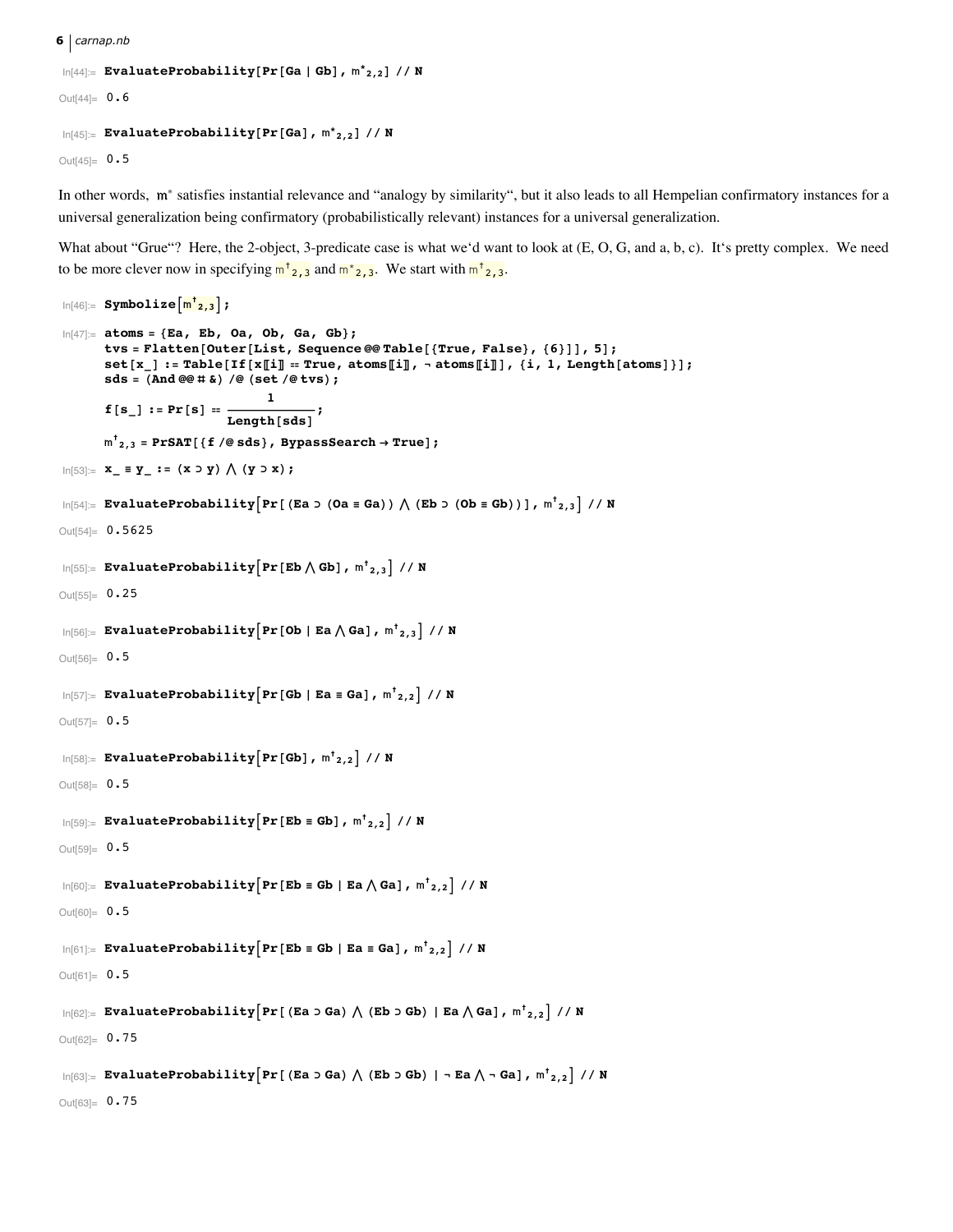6  $\vert$  carnap.nb

```
\ln[44] = EvaluateProbability[Pr[Ga | Gb], m^*_{2,2}] // N
Out[44] = 0.6\ln[45] = EvaluateProbability[Pr[Ga], m^*_{2,2}] // N
```
Out[45]=  $0.5$ 

In other words, m<sup>\*</sup> satisfies instantial relevance and "analogy by similarity", but it also leads to all Hempelian confirmatory instances for a universal generalization being confirmatory (probabilistically relevant) instances for a universal generalization.

What about "Grue"? Here, the 2-object, 3-predicate case is what we'd want to look at (E, O, G, and a, b, c). It's pretty complex. We need to be more clever now in specifying  $m^{\dagger}$  2, 3 and  $m^{\dagger}$  2, 3. We start with  $m^{\dagger}$  2, 3.

```
\ln[46] = Symbolize\left[\frac{m^{\dagger}a}{,3}\right];
 ln[47] := atoms = {Ea, Eb, Oa, Ob, Ga, Gb};
          tvs = Flatten[Outer[List, Sequence@@Table[{True, False}, {6}]], 5];
          set[x_] := Table[If[x[i]] = True, atoms[i]], - atoms[i]], {i, 1, Length[atoms] };sds = (And @ @ # > ) @ (set / @ tws);f[s_] := Pr[s] = \frac{1}{Length[sds]},m^{\dagger}_{2,3} = PrSAT[{f /@sds}, BypassSearch \rightarrow True];
In[53]: = x_ = y_ : = (x > y) \wedge (y > x);\ln[54] := \texttt{EvaluateProbability}\Big[\Pr\big[\texttt{(Ea > (0a \equiv Ga)) \texttt{)} \big(\texttt{(Eb > (0b \equiv Gb))}\big], \; \texttt{m}^\dagger_{2,3}\Big] \texttt{ // N}Out[54]= 0.5625\ln[55] = EvaluateProbability Pr [Eb \bigwedge Gb], m^{\dagger}<sub>2,3</sub> // N
Out[55]= 0.25\ln[56] = EvaluateProbability Pr [Ob | Ea \bigwedge Ga], m^{\dagger}<sub>2,3</sub> | // N
Out[56]= 0.5\ln[57]:= EvaluateProbability Pr[Gb | Ea = Ga], m^{\dagger}<sub>2,2</sub> // N
Out[57]= 0.5\ln[58] = EvaluateProbability \lceil Pr [Gb], m^{\dagger}<sub>2,2</sub> // N
Out[58]= 0.5\ln[59] = EvaluateProbability \left[\Pr\left[\textbf{Eb} \equiv \textbf{Gb}\right], m^{\dagger}_{2,2}\right] // N
Out[59]= 0.5\ln[60]:= EvaluateProbability \left[\Pr\left[\mathbf{Eb} \equiv \mathbf{Gb} \mid \mathbf{Ea} \wedge \mathbf{Ga}\right], m^{\dagger}_{2,2}\right] // N
Out[60] = 0.5\ln[61]:= EvaluateProbability \left[\Pr\left[\mathbf{Eb} \equiv \mathbf{Gb} \mid \mathbf{Ea} \equiv \mathbf{Ga}\right], m^{\dagger}<sub>2,2</sub> // N
Out[61]= 0.5\ln[62] = EvaluateProbability \lceil Pr \rceil (Ea \supset Ga) \bigwedge (Eb \supset Gb) | Ea \bigwedge Ga], m^{\dagger}<sub>2,2</sub> | // N
Out[62]= 0.75\ln[63] = EvaluateProbability Pr[(Ea > Ga) \bigwedge (Eb > Gb) | - Ea \bigwedge - Ga], m^{\dagger}<sub>2,2</sub> | // N
Out[63]= 0.75
```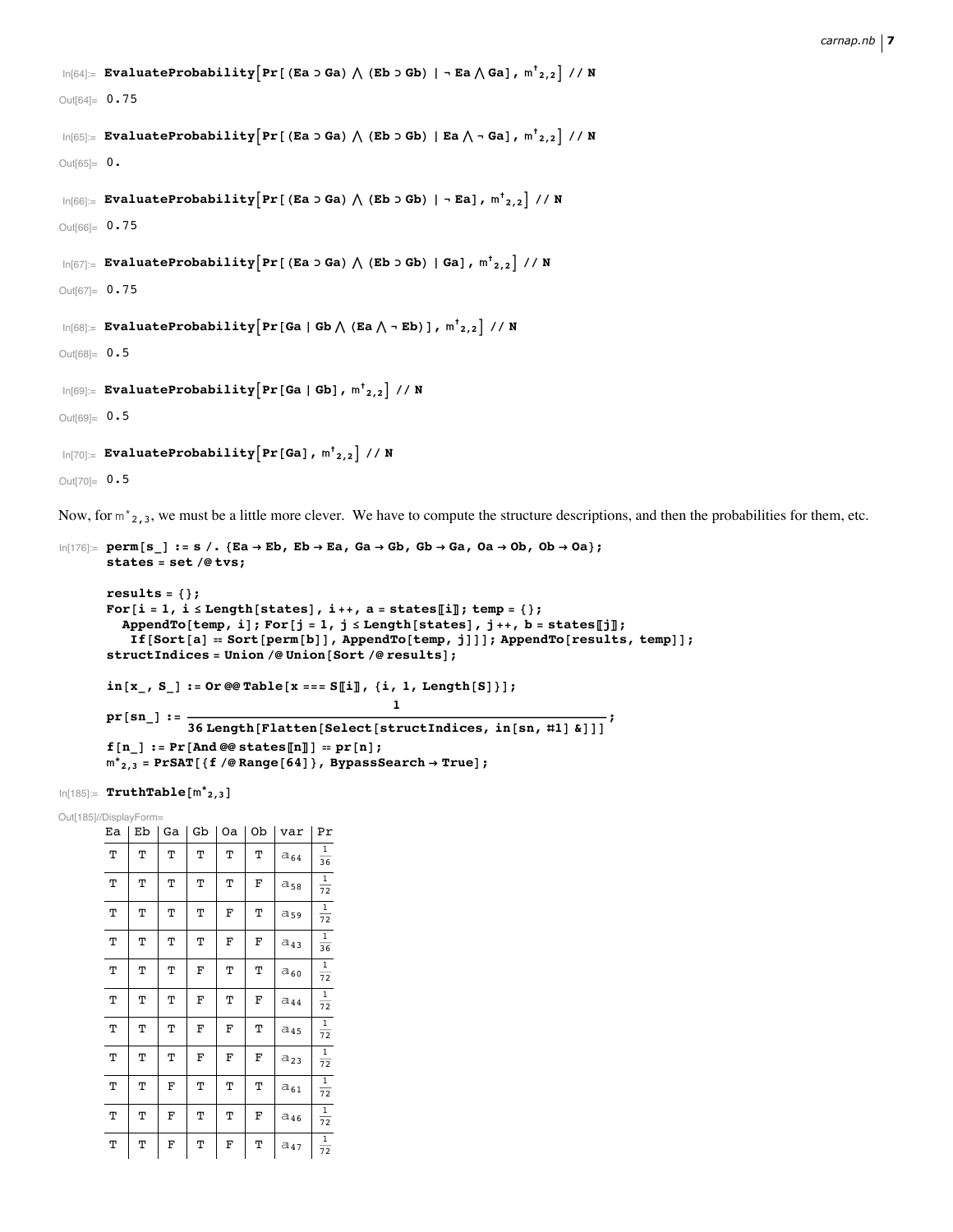```
\ln[64] = EvaluateProbability\left[\Pr\left[\text{ (Ea > Ga)} \bigwedge \text{ (Eb > Gb)} \right] - \text{Ea} \bigwedge \text{Ga}\right], \mathfrak{m^+}_{2,2} // N
Out[64]= 0.75
  \ln[65]: EvaluateProbability\left[\Pr\left[\text{ (Ea > Ga)} \bigwedge \text{ (Eb > Gb)} \mid \text{Ea} \bigwedge \neg \text{ Ga}\right], \text{ m}^{\dagger}_{2,2}\right] // N
Out[65] = 0.
  \ln[66]= EvaluateProbability\left[\Pr\left[\text{ (Ea > Ga)} \bigwedge \text{ (Eb > Gb)} \mid \neg \text{ Ea}\right], \text{ m}^{\dagger}_{2,2}\right] // N
Out[66]= 0.75
  \ln[67]:= EvaluateProbability\left[\Pr\left[\right(\texttt{Ea} > \texttt{Ga}\right) \bigwedge\left(\texttt{Eb} > \texttt{Gb}\right) \mid \texttt{Ga}\right], \mathfrak{m^t}_{2,2}\right] // N
Out[67]= 0.75
  \ln[\text{68}] = EvaluateProbability\left[\text{Pr}\left[\text{Ga}\mid\text{Gb}\bigwedge\left(\text{Ea}\bigwedge\text{-}\text{Eb}\right)\right], \text{m}^{\dagger}_{2,2}\right] // N
Out[68]= 0.5
  \ln[69] := EvaluateProbability \left[\text{Pr}\left[\text{Ga}\mid\text{Gb}\right],\text{ m}^{\dagger}_{2,2}\right] // N
Out[69] = 0.5\ln [70] := EvaluateProbability \left[\text{Pr}\left[\text{Ga}\right] , \text{m}^{\dagger} 2,2 \right] // N
```
 $Out[70] = 0.5$ 

Now, for  $m^*_{2,3}$ , we must be a little more clever. We have to compute the structure descriptions, and then the probabilities for them, etc.

```
\ln[176] = \text{perm}[s] : s / . \{Ea \rightarrow Eb, Eb \rightarrow Ea, Ga \rightarrow Gb, Gb \rightarrow Ga, Oa \rightarrow Ob, Ob \rightarrow Oa\};states = set êü tvs;
        results = 8<;
        For[i = 1, i \le Length[states], i++, a = states[i]]; temp = {};
           AppendTo[temp, i]; For[j = 1, j \le Length[states], j++, b = states[j];If [Sort[a] == Sort[perm[b]], AppendTo[temp, j]]]; AppendTo[results, temp]];
        structIndices = Union êü Union@Sort êü resultsD;
        in[x, S_]: = Or @ @ Table[x == S[[i], {i, 1, Length[S] }];pr[sn_] := \frac{1}{36 \text{ Length}[\text{Flatten}[\text{Select}[\text{structured}]\text{ndices, in}[\text{sn, #1] & \\]]};}f[n_] := Pr[And @@stack{\text{states}[n]]} := pr[n];m<sup>*</sup><sub>2,3</sub> = PrSAT[{f /@Range[64]}, BypassSearch → True];
```
 $\ln[185] := \textbf{TruthTable} \big[\text{m*}_\textbf{2,3}\big]$ 

Out[185]//DisplayForm=

| Ea | Eb | Ga | Gb | Oa | Ob | var      | Pr                              |
|----|----|----|----|----|----|----------|---------------------------------|
| Т  | Т  | Т  | Т  | Т  | Т  | $a_{64}$ | $\mathbf{1}$<br>36              |
| Т  | Т  | Т  | Т  | Т  | F  | $a_{58}$ | $\mathbf{1}$<br>$\overline{72}$ |
| Т  | Т  | Т  | Т  | F  | Т  | $a_{59}$ | $\mathbf 1$<br>72               |
| Т  | Т  | Т  | Т  | F  | F  | $a_{43}$ | $\overline{1}$<br>36            |
| Т  | Т  | Т  | F  | Т  | Т  | $a_{60}$ | $\mathbf{1}$<br>$\overline{72}$ |
| Т  | Т  | Т  | F  | Т  | F  | $a_{44}$ | $\mathbf 1$<br>72               |
| Т  | Т  | Т  | F  | F  | Т  | $a_{45}$ | $\mathbf 1$<br>72               |
| Т  | Т  | Т  | F  | F  | F  | $a_{23}$ | $\mathbf{1}$<br>72              |
| Т  | Т  | F  | Т  | Т  | Т  | $a_{61}$ | $\mathbf{1}$<br>$\overline{72}$ |
| Т  | Т  | F  | Т  | Т  | F  | $a_{46}$ | $\mathbf{1}$<br>72              |
| Т  | Т  | F  | Т  | F  | Т  | $a_{47}$ | $\,1$<br>$\overline{72}$        |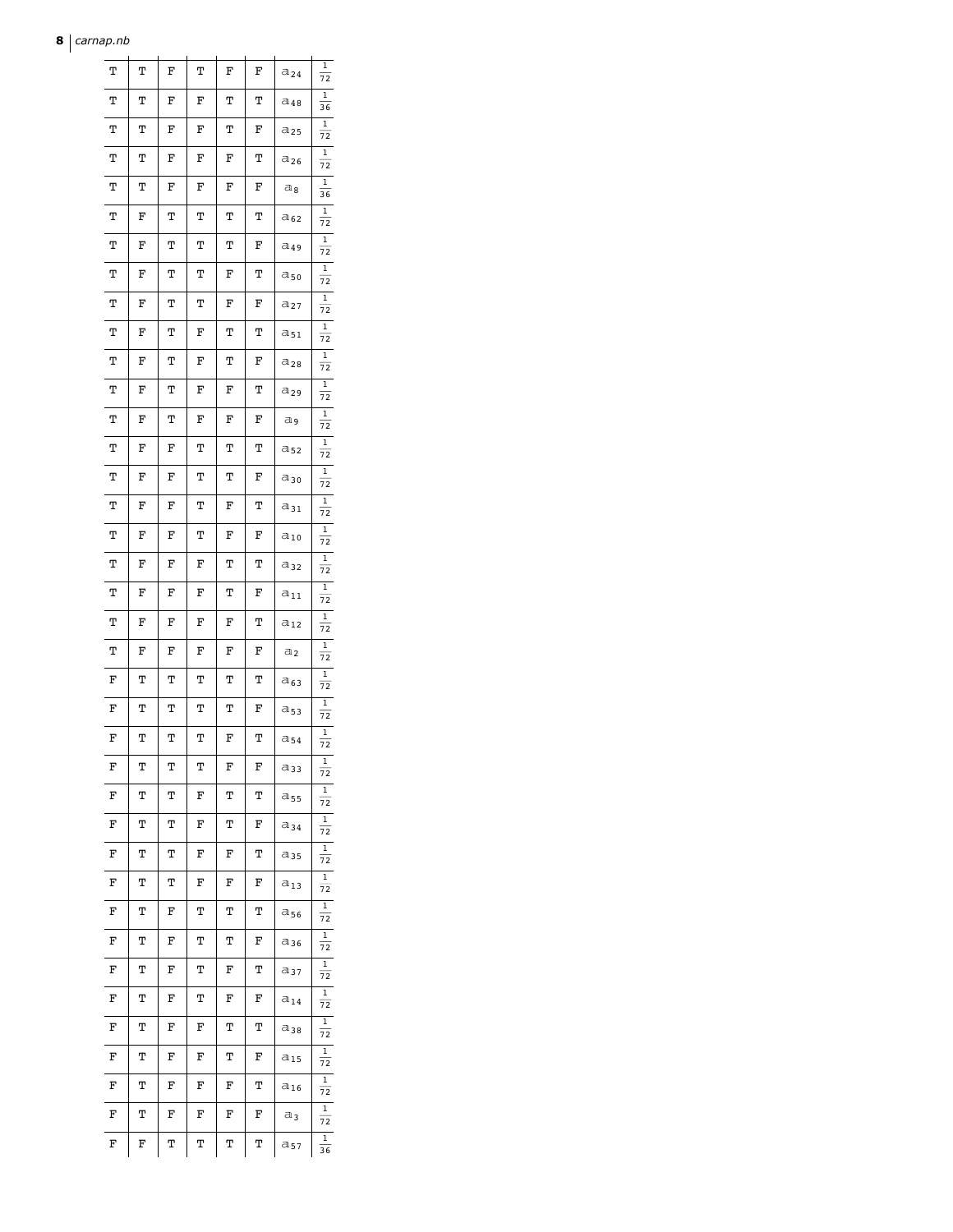#### **8** *carnap.nb*

| Т | т | F | т | F | F | a <sub>24</sub> | 1<br>72              |
|---|---|---|---|---|---|-----------------|----------------------|
| Т | Т | F | F | Т | Т | a 48            | 1<br>36              |
| Т | Т | F | F | Т | F | a 25            | 1<br>72              |
| Т | Т | F | F | F | Т | a <sub>26</sub> | 1<br>72              |
| Т | Т | F | F | F | F | a g             | 1<br>36              |
| Т | F | Т | Т | Т | Т | a 62            | 1<br>72              |
| Т | F | Т | Т | Т | F | a <sub>49</sub> | 1<br>72              |
| Т | F | Т | Т | F | Т | a 50            | 1<br>72              |
| Т | F | Т | Т | F | F | a27             | 1<br>72              |
| Т | F | Т | F | Т | Т | a <sub>51</sub> | 1<br>$\overline{72}$ |
| Т | F | Т | F | Т | F | a <sub>28</sub> | 1<br>72              |
| Т | F | Т | F | F | Т | a 29            | 1<br>72              |
| Т | F | Т | F | F | F | аg              | 1<br>72              |
| Т | F | F | Т | Т | Т | a 52            | 1<br>72              |
| Т | F | F | Т | Т | F | a 30            | $\,1$<br>72          |
| Т | F | F | Т | F | Т | $a_{31}$        | 1<br>72              |
| Т | F | F | Т | F | F | a10             | 1<br>72              |
| Т | F | F | F | Т | Т | a 32            | 1<br>72              |
| Т | F | F | F | Т | F | $a_{11}$        | 1<br>72              |
| Т | F | F | F | F | Т | a 12            | 1<br>$\overline{72}$ |
| Т | F | F | F | F | F | $a_2$           | 1<br>72              |
| F | Т | Т | Т | Т | Т | a <sub>63</sub> | 1<br>72              |
| F | Т | Т | Т | Т | F | a 53            | 1<br>72              |
| F | Т | Т | Т | F | Т | $a_{54}$        | 1<br>72              |
| F | Т | Т | Т | F | F | $a_{33}$        | 1<br>72              |
| F | Т | Т | F | Т | Т | a55             | 1<br>72              |
| F | Т | Т | F | Т | F | a 34            | $\,1\,$<br>72        |
| F | Т | Т | F | F | Т | a <sub>35</sub> | 1<br>72              |
| F | Т | Т | F | F | F | a <sub>13</sub> | 1<br>72              |
| F | Т | F | Т | Т | Т | a36             | 1<br>72              |
| F | Т | F | Т | Т | F | $a_{36}$        | 1<br>72              |
| F | Т | F | Т | F | Т | a 37            | 1<br>72              |
| F | Т | F | Т | F | F | a14             | 1<br>72              |
| F | Т | F | F | Т | Т | $a_{38}$        | $\,1$<br>72          |
| F | Т | F | F | Т | F | a <sub>15</sub> | 1<br>72              |
| F | Т | F | F | F | Т | a 16            | 1<br>72              |
| F | Т | F | F | F | F | aз              | 1<br>72              |
| F | F | Т | Т | Т | Т | a57             | 1<br>36              |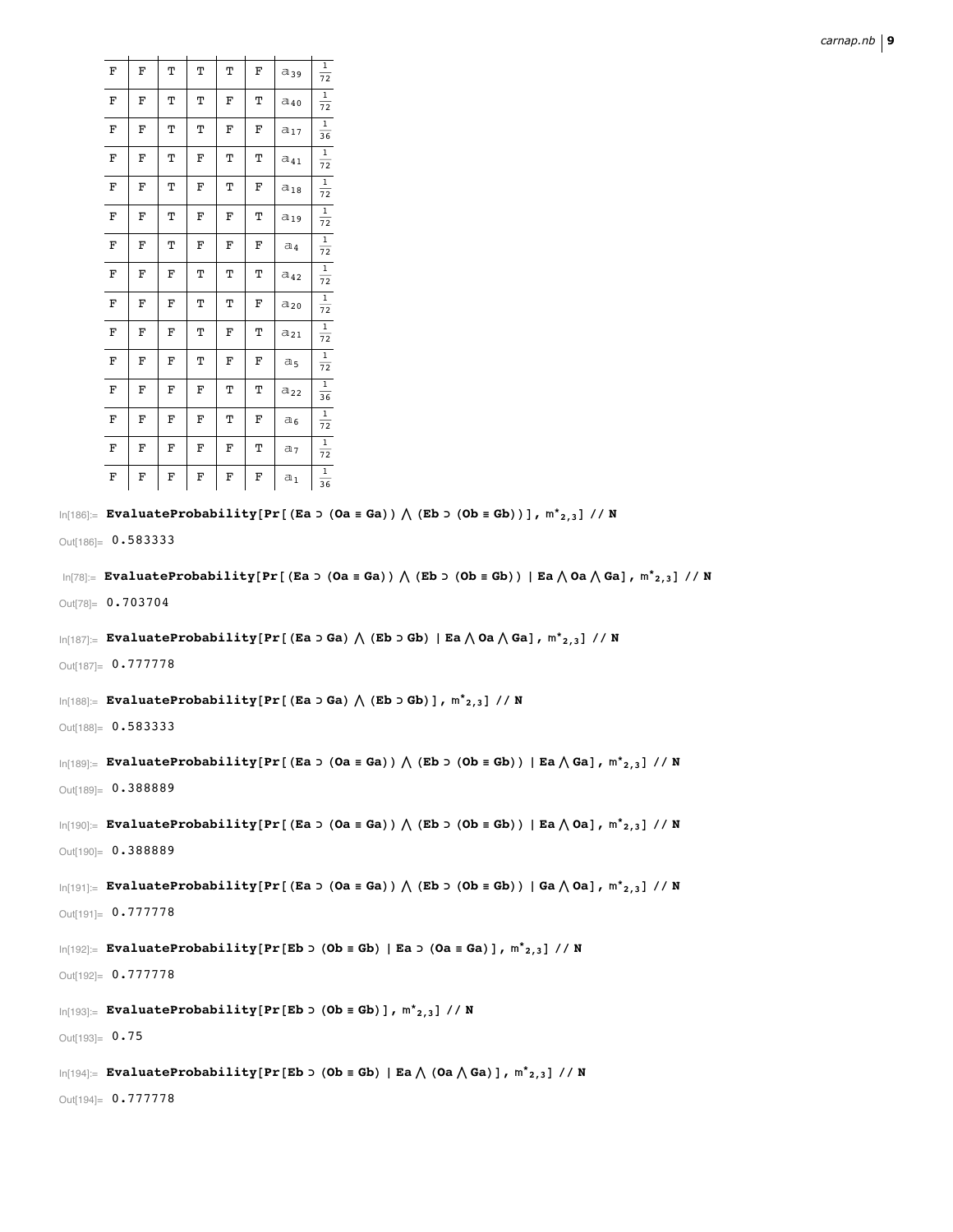| F | F | Т | Т | Т | F | $a_{39}$        | $\mathbf{1}$<br>72              |
|---|---|---|---|---|---|-----------------|---------------------------------|
| F | F | Т | Т | F | Т | $a_{40}$        | $\mathbf{1}$<br>$\overline{72}$ |
| F | F | Т | Т | F | F | $a_{17}$        | $\,1$<br>36                     |
| F | F | Т | F | Т | Т | $a_{41}$        | 1<br>72                         |
| F | F | Т | F | т | F | $a_{18}$        | $\mathbf{1}$<br>72              |
| F | F | Т | F | F | Т | $a_{19}$        | 1<br>72                         |
| F | F | Т | F | F | F | $a_4$           | $\,1$<br>72                     |
| F | F | F | Т | Т | Т | $a_{42}$        | 1<br>72                         |
| F | F | F | Т | Т | F | $a_{20}$        | $\,1$<br>72                     |
| F | F | F | Т | F | Т | $a_{21}$        | 1<br>72                         |
| F | F | F | Т | F | F | a <sub>5</sub>  | $\,1$<br>$\overline{72}$        |
| F | F | F | F | Т | Т | a <sub>22</sub> | 1<br>36                         |
| F | F | F | F | Т | F | $a_6$           | 1<br>72                         |
| F | F | F | F | F | Т | a <sub>7</sub>  | 1<br>72                         |
| F | F | F | F | F | F | $a_1$           | 1<br>36                         |

```
\ln[186]:= EvaluateProbability[Pr[(Ea > (Oa = Ga)) \bigwedge (Eb > (Ob = Gb))], m^*_{2,3}] // N
```
Out[186]=  $0.583333$ 

```
\ln[T8] = EvaluateProbability[Pr[(Ea > (Oa = Ga)) \bigwedge (Eb > (Ob = Gb)) | Ea \bigwedge Oa \bigwedge Ga], m^*_{2,3} // N
```
Out[78]=  $0.703704$ 

```
\ln[187] := EvaluateProbability[Pr[(Ea o Ga) \bigwedge (Eb o Gb) | Ea \bigwedge Oa \bigwedge Ga], m^*_{2,3}] // N
```
Out[187]= 0.777778

```
\ln[188] = EvaluateProbability[Pr[(Ea \triangleright Ga) \bigwedge (Eb \triangleright Gb)], m^*_{2,3}] // N
```
Out[188]= 0.583333

```
\ln[189] = \texttt{EvaluateProbability}[\Pr[(\texttt{Ea} > (\texttt{Oa} \equiv \texttt{Ga})) \wedge (\texttt{Eb} > (\texttt{Ob} \equiv \texttt{Gb})) \mid \texttt{Ea} \wedge \texttt{Ga}], m^*_{2,3}] \textit{ // N}
```
Out[189]= 0.388889

```
\ln[190] = EvaluateProbability[Pr[(Ea > (Oa = Ga)) \bigwedge (Eb > (Ob = Gb)) | Ea \bigwedge Oa], m^*_{2,3} // N
```
Out[190]=  $0.388889$ 

```
\ln[191] := \texttt{EvaluateProbability[Pr[(Ea > (0a \equiv Ga)) \wedge (Eb > (Ob \equiv Gb)) | Ga \wedge Oa], m^*_{2,3}] // N}
```
Out[191]=  $0.777778$ 

 $\ln[192]$ := EvaluateProbability[Pr[Eb o (Ob = Gb) | Ea o (Oa = Ga)],  $m^*_{2,3}$ ] // N

 $Out[192] = 0.777778$ 

 $In[193]:$  EvaluateProbability[Pr[Eb  $\triangleright$  (Ob  $\equiv$  Gb)],  $m^*_{2,3}$ ] // N

Out[193]=  $0.75$ 

 $\ln[194]$  = EvaluateProbability[Pr[Eb o (Ob = Gb) | Ea  $\wedge$  (Oa  $\wedge$  Ga)],  $m^*_{2,3}$ ] // N

Out[194]= 0.777778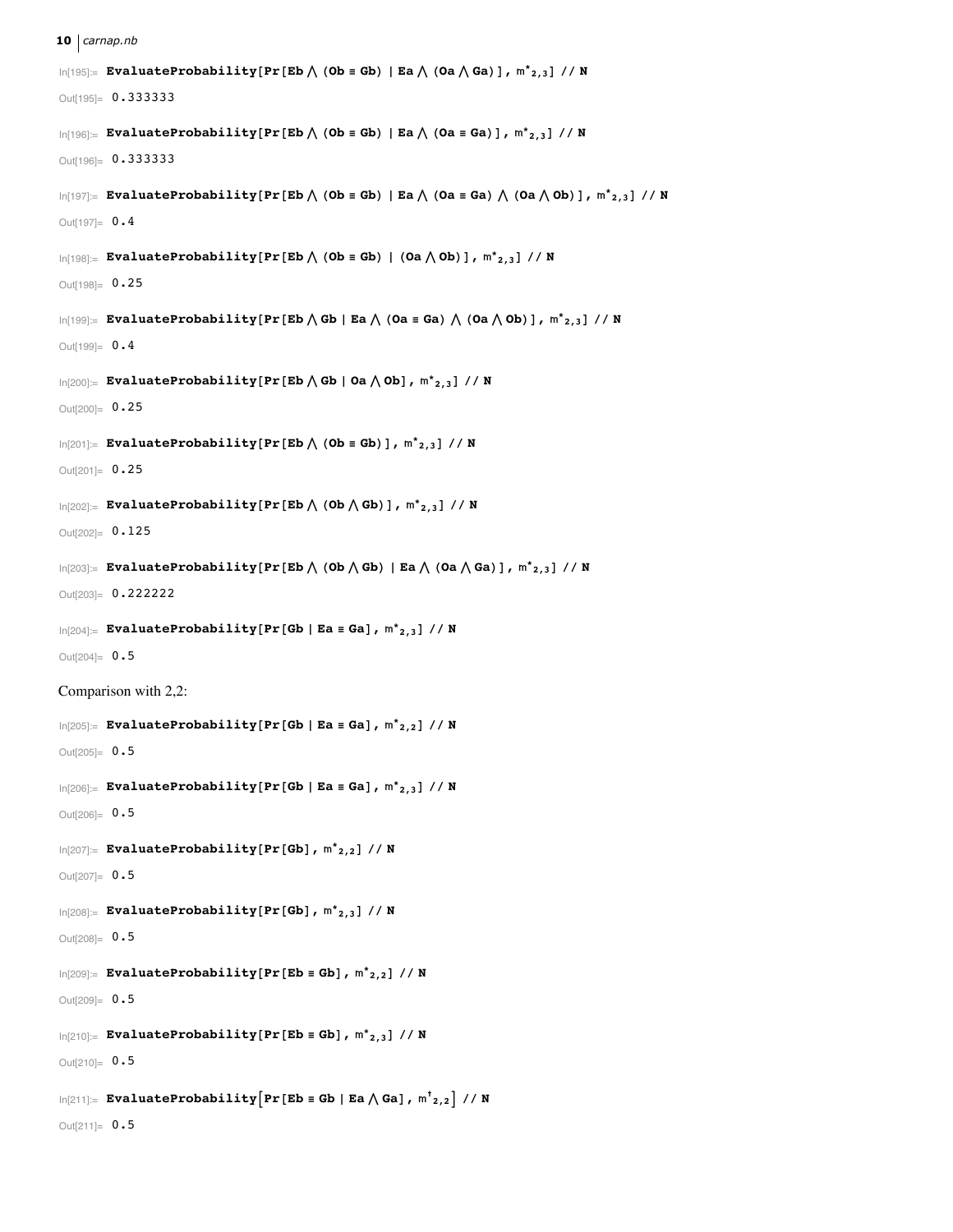#### **10** *carnap.nb*

```
\ln[195] := EvaluateProbability[Pr[Eb\bigwedge (Ob \equiv Gb) | Ea\bigwedge (Oa\bigwedge Ga)], m^*_{2,3}] // N
Out[195]= 0.333333
\ln[196] := EvaluateProbability[Pr[Eb\bigwedge (Ob \equiv Gb) | Ea\bigwedge (Oa \equiv Ga)], \mathsf{m^*}_{2,3}] // N
Out[196]= 0.333333
\ln[197] := EvaluateProbability[Pr[Eb \bigwedge (Ob \equiv Gb) | Ea \bigwedge (Oa \equiv Ga) \bigwedge (Oa \bigwedge Ob)], m^*_{2,3}] // N
Out[197] = 0.4\ln[198] := EvaluateProbability[Pr[Eb\bigwedge (Ob \equiv Gb) | (Oa\bigwedge Ob)], m^*_{2,3}] // N
Out[198]= 0.25
\ln[199] := EvaluateProbability[Pr[Eb \bigwedge Gb | Ea \bigwedge (Oa = Ga) \bigwedge (Oa \bigwedge Ob)], m^*_{2,3}] // N
Out[199] = 0.4\ln[200] := EvaluateProbability [Pr[Eb \bigwedge Gb | Oa \bigwedge Ob], m^*_{2,3}] // N
Out[200]= 0.25
\ln[201]: EvaluateProbability[Pr [Eb \bigwedge (Ob \equiv Gb)], m^*_{2,3}] // N
Out[201]= 0.25
\ln[202] := EvaluateProbability [Pr[Eb \bigwedge (Ob \bigwedge Gb) ], m^*_{2,3} ] // N
Out[202]= 0.125
\ln[203] := EvaluateProbability[Pr[Eb\bigwedge (Ob\bigwedge Gb) | Ea\bigwedge (Oa\bigwedge Ga)], \mathfrak{m^*}_{2,3}] // N
Out[203]= 0.222222
\ln[204] := EvaluateProbability<sup>[Pr[Gb | Ea = Ga], m^*_{2,3}] // N</sup>
Out[204] = 0.5Comparison with 2,2:
\ln[205] := EvaluateProbability<sup>[Pr[Gb | Ea = Ga], m^*_{2,2}] // N</sup>
Out[205] = 0.5\ln[206] := EvaluateProbability<sup>[Pr[Gb</sup> | Ea = Ga], m^*_{2,3}] // N
Out[206]= 0.5In[207]:= EvaluateProbability@Pr@GbD, *
2,2D êê N
Out[207]= 0.5In[208]:= EvaluateProbability@Pr@GbD, *
2,3D êê N
Out[208]= 0.5\ln[209] := EvaluateProbability [Pr[Eb = Gb], m^*_{2,2}] // N
Out[209] = 0.5\ln[210] := EvaluateProbability [Pr[Eb = Gb], m^*_{2,3}] // N
Out[210]= 0.5\ln[211]: EvaluateProbability \left[\text{Pr}\left[\text{Eb}\equiv\text{Gb}\mid\text{Ea}\bigwedge\text{Ga}\right], \text{m}^{\dagger}_{2,2}\right] // N
Out[211]= 0.5
```